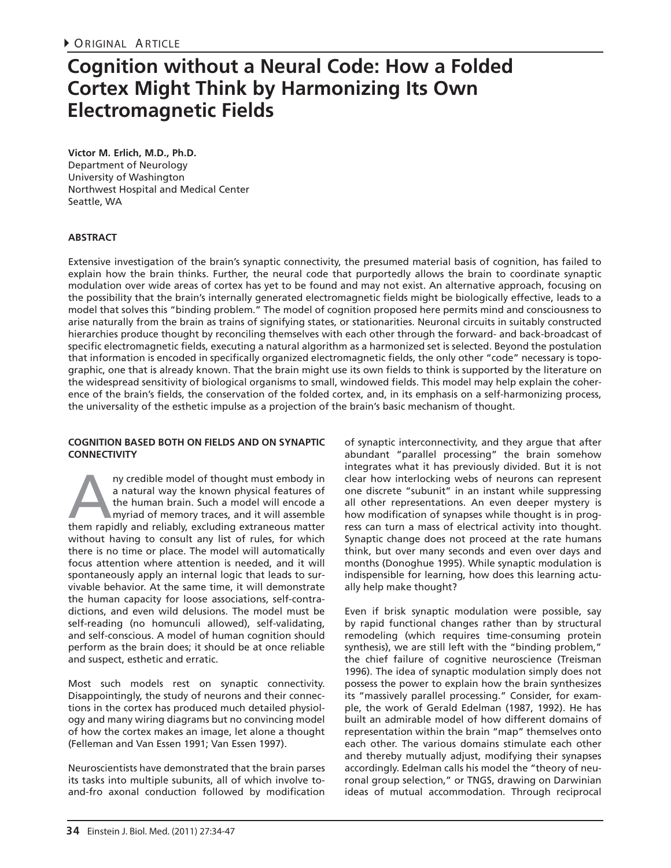## **Cognition without a Neural Code: How a Folded Cortex Might Think by Harmonizing Its Own Electromagnetic Fields**

**Victor M. Erlich, M.D., Ph.D.**  Department of Neurology University of Washington Northwest Hospital and Medical Center Seattle, WA

## **ABSTRACT**

Extensive investigation of the brain's synaptic connectivity, the presumed material basis of cognition, has failed to explain how the brain thinks. Further, the neural code that purportedly allows the brain to coordinate synaptic modulation over wide areas of cortex has yet to be found and may not exist. An alternative approach, focusing on the possibility that the brain's internally generated electromagnetic fields might be biologically effective, leads to a model that solves this "binding problem." The model of cognition proposed here permits mind and consciousness to arise naturally from the brain as trains of signifying states, or stationarities. Neuronal circuits in suitably constructed hierarchies produce thought by reconciling themselves with each other through the forward- and back-broadcast of specific electromagnetic fields, executing a natural algorithm as a harmonized set is selected. Beyond the postulation that information is encoded in specifically organized electromagnetic fields, the only other "code" necessary is topographic, one that is already known. That the brain might use its own fields to think is supported by the literature on the widespread sensitivity of biological organisms to small, windowed fields. This model may help explain the coherence of the brain's fields, the conservation of the folded cortex, and, in its emphasis on a self-harmonizing process, the universality of the esthetic impulse as a projection of the brain's basic mechanism of thought.

#### **COGNITION BASED BOTH ON FIELDS AND ON SYNAPTIC CONNECTIVITY**

All the model of thought must embody in<br>
a natural way the known physical features of<br>
the human brain. Such a model will encode a<br>
myriad of memory traces, and it will assemble<br>
them rapidly and reliably, excluding extran a natural way the known physical features of the human brain. Such a model will encode a myriad of memory traces, and it will assemble without having to consult any list of rules, for which there is no time or place. The model will automatically focus attention where attention is needed, and it will spontaneously apply an internal logic that leads to survivable behavior. At the same time, it will demonstrate the human capacity for loose associations, self-contradictions, and even wild delusions. The model must be self-reading (no homunculi allowed), self-validating, and self-conscious. A model of human cognition should perform as the brain does; it should be at once reliable and suspect, esthetic and erratic.

Most such models rest on synaptic connectivity. Disappointingly, the study of neurons and their connections in the cortex has produced much detailed physiology and many wiring diagrams but no convincing model of how the cortex makes an image, let alone a thought (Felleman and Van Essen 1991; Van Essen 1997).

Neuroscientists have demonstrated that the brain parses its tasks into multiple subunits, all of which involve toand-fro axonal conduction followed by modification of synaptic interconnectivity, and they argue that after abundant "parallel processing" the brain somehow integrates what it has previously divided. But it is not clear how interlocking webs of neurons can represent one discrete "subunit" in an instant while suppressing all other representations. An even deeper mystery is how modification of synapses while thought is in progress can turn a mass of electrical activity into thought. Synaptic change does not proceed at the rate humans think, but over many seconds and even over days and months (Donoghue 1995). While synaptic modulation is indispensible for learning, how does this learning actually help make thought?

Even if brisk synaptic modulation were possible, say by rapid functional changes rather than by structural remodeling (which requires time-consuming protein synthesis), we are still left with the "binding problem," the chief failure of cognitive neuroscience (Treisman 1996). The idea of synaptic modulation simply does not possess the power to explain how the brain synthesizes its "massively parallel processing." Consider, for example, the work of Gerald Edelman (1987, 1992). He has built an admirable model of how different domains of representation within the brain "map" themselves onto each other. The various domains stimulate each other and thereby mutually adjust, modifying their synapses accordingly. Edelman calls his model the "theory of neuronal group selection," or TNGS, drawing on Darwinian ideas of mutual accommodation. Through reciprocal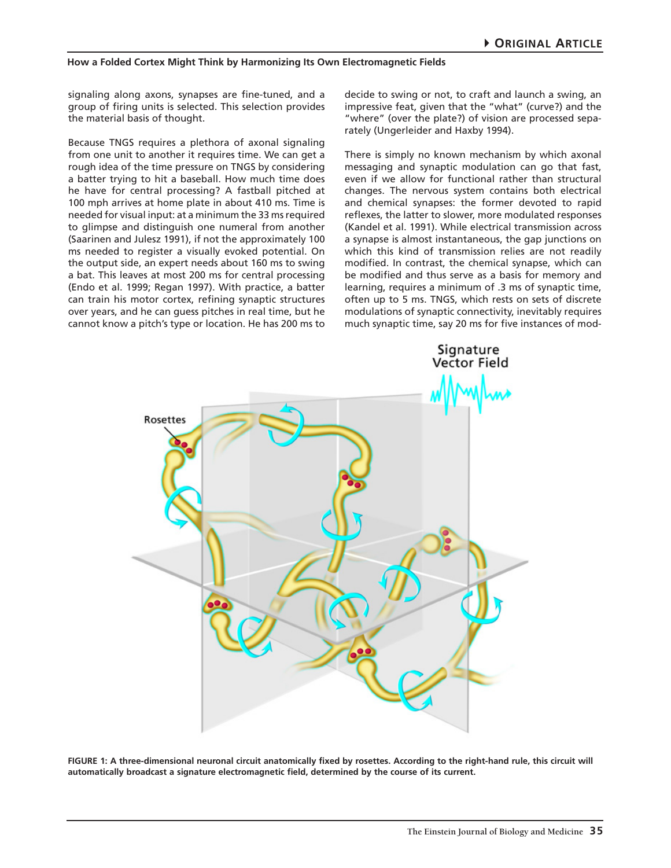signaling along axons, synapses are fine-tuned, and a group of firing units is selected. This selection provides the material basis of thought.

Because TNGS requires a plethora of axonal signaling from one unit to another it requires time. We can get a rough idea of the time pressure on TNGS by considering a batter trying to hit a baseball. How much time does he have for central processing? A fastball pitched at 100 mph arrives at home plate in about 410 ms. Time is needed for visual input: at a minimum the 33 ms required to glimpse and distinguish one numeral from another (Saarinen and Julesz 1991), if not the approximately 100 ms needed to register a visually evoked potential. On the output side, an expert needs about 160 ms to swing a bat. This leaves at most 200 ms for central processing (Endo et al. 1999; Regan 1997). With practice, a batter can train his motor cortex, refining synaptic structures over years, and he can guess pitches in real time, but he cannot know a pitch's type or location. He has 200 ms to decide to swing or not, to craft and launch a swing, an impressive feat, given that the "what" (curve?) and the "where" (over the plate?) of vision are processed separately (Ungerleider and Haxby 1994).

There is simply no known mechanism by which axonal messaging and synaptic modulation can go that fast, even if we allow for functional rather than structural changes. The nervous system contains both electrical and chemical synapses: the former devoted to rapid reflexes, the latter to slower, more modulated responses (Kandel et al. 1991). While electrical transmission across a synapse is almost instantaneous, the gap junctions on which this kind of transmission relies are not readily modified. In contrast, the chemical synapse, which can be modified and thus serve as a basis for memory and learning, requires a minimum of .3 ms of synaptic time, often up to 5 ms. TNGS, which rests on sets of discrete modulations of synaptic connectivity, inevitably requires much synaptic time, say 20 ms for five instances of mod-



**FIGURE 1: A three-dimensional neuronal circuit anatomically fixed by rosettes. According to the right-hand rule, this circuit will automatically broadcast a signature electromagnetic field, determined by the course of its current.**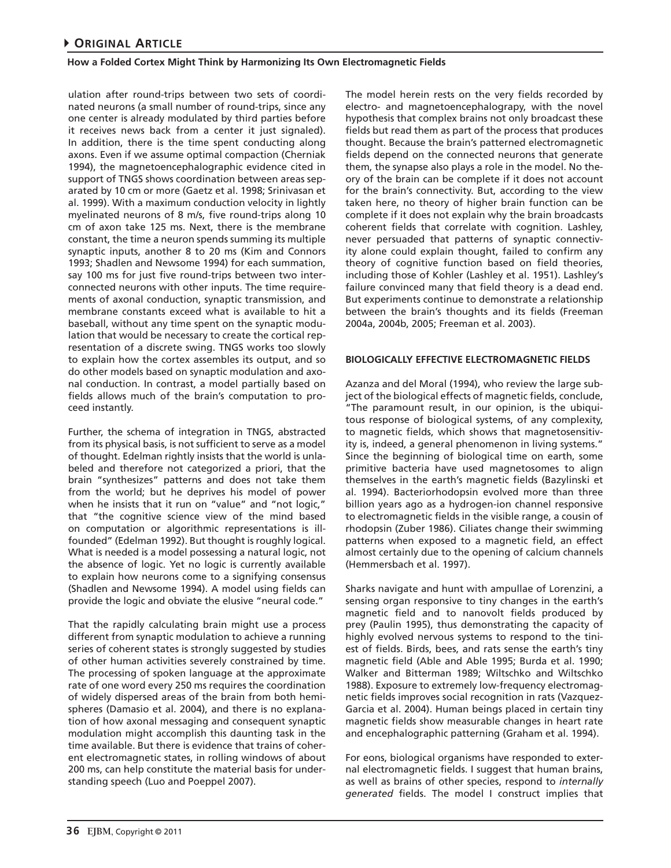ulation after round-trips between two sets of coordinated neurons (a small number of round-trips, since any one center is already modulated by third parties before it receives news back from a center it just signaled). In addition, there is the time spent conducting along axons. Even if we assume optimal compaction (Cherniak 1994), the magnetoencephalographic evidence cited in support of TNGS shows coordination between areas separated by 10 cm or more (Gaetz et al. 1998; Srinivasan et al. 1999). With a maximum conduction velocity in lightly myelinated neurons of 8 m/s, five round-trips along 10 cm of axon take 125 ms. Next, there is the membrane constant, the time a neuron spends summing its multiple synaptic inputs, another 8 to 20 ms (Kim and Connors 1993; Shadlen and Newsome 1994) for each summation, say 100 ms for just five round-trips between two interconnected neurons with other inputs. The time requirements of axonal conduction, synaptic transmission, and membrane constants exceed what is available to hit a baseball, without any time spent on the synaptic modulation that would be necessary to create the cortical representation of a discrete swing. TNGS works too slowly to explain how the cortex assembles its output, and so do other models based on synaptic modulation and axonal conduction. In contrast, a model partially based on fields allows much of the brain's computation to proceed instantly.

Further, the schema of integration in TNGS, abstracted from its physical basis, is not sufficient to serve as a model of thought. Edelman rightly insists that the world is unlabeled and therefore not categorized a priori, that the brain "synthesizes" patterns and does not take them from the world; but he deprives his model of power when he insists that it run on "value" and "not logic," that "the cognitive science view of the mind based on computation or algorithmic representations is illfounded" (Edelman 1992). But thought is roughly logical. What is needed is a model possessing a natural logic, not the absence of logic. Yet no logic is currently available to explain how neurons come to a signifying consensus (Shadlen and Newsome 1994). A model using fields can provide the logic and obviate the elusive "neural code."

That the rapidly calculating brain might use a process different from synaptic modulation to achieve a running series of coherent states is strongly suggested by studies of other human activities severely constrained by time. The processing of spoken language at the approximate rate of one word every 250 ms requires the coordination of widely dispersed areas of the brain from both hemispheres (Damasio et al. 2004), and there is no explanation of how axonal messaging and consequent synaptic modulation might accomplish this daunting task in the time available. But there is evidence that trains of coherent electromagnetic states, in rolling windows of about 200 ms, can help constitute the material basis for understanding speech (Luo and Poeppel 2007).

The model herein rests on the very fields recorded by electro- and magnetoencephalograpy, with the novel hypothesis that complex brains not only broadcast these fields but read them as part of the process that produces thought. Because the brain's patterned electromagnetic fields depend on the connected neurons that generate them, the synapse also plays a role in the model. No theory of the brain can be complete if it does not account for the brain's connectivity. But, according to the view taken here, no theory of higher brain function can be complete if it does not explain why the brain broadcasts coherent fields that correlate with cognition. Lashley, never persuaded that patterns of synaptic connectivity alone could explain thought, failed to confirm any theory of cognitive function based on field theories, including those of Kohler (Lashley et al. 1951). Lashley's failure convinced many that field theory is a dead end. But experiments continue to demonstrate a relationship between the brain's thoughts and its fields (Freeman 2004a, 2004b, 2005; Freeman et al. 2003).

## **BIOLOGICALLY EFFECTIVE ELECTROMAGNETIC FIELDS**

Azanza and del Moral (1994), who review the large subject of the biological effects of magnetic fields, conclude, "The paramount result, in our opinion, is the ubiquitous response of biological systems, of any complexity, to magnetic fields, which shows that magnetosensitivity is, indeed, a general phenomenon in living systems." Since the beginning of biological time on earth, some primitive bacteria have used magnetosomes to align themselves in the earth's magnetic fields (Bazylinski et al. 1994). Bacteriorhodopsin evolved more than three billion years ago as a hydrogen-ion channel responsive to electromagnetic fields in the visible range, a cousin of rhodopsin (Zuber 1986). Ciliates change their swimming patterns when exposed to a magnetic field, an effect almost certainly due to the opening of calcium channels (Hemmersbach et al. 1997).

Sharks navigate and hunt with ampullae of Lorenzini, a sensing organ responsive to tiny changes in the earth's magnetic field and to nanovolt fields produced by prey (Paulin 1995), thus demonstrating the capacity of highly evolved nervous systems to respond to the tiniest of fields. Birds, bees, and rats sense the earth's tiny magnetic field (Able and Able 1995; Burda et al. 1990; Walker and Bitterman 1989; Wiltschko and Wiltschko 1988). Exposure to extremely low-frequency electromagnetic fields improves social recognition in rats (Vazquez-Garcia et al. 2004). Human beings placed in certain tiny magnetic fields show measurable changes in heart rate and encephalographic patterning (Graham et al. 1994).

For eons, biological organisms have responded to external electromagnetic fields. I suggest that human brains, as well as brains of other species, respond to *internally generated* fields. The model I construct implies that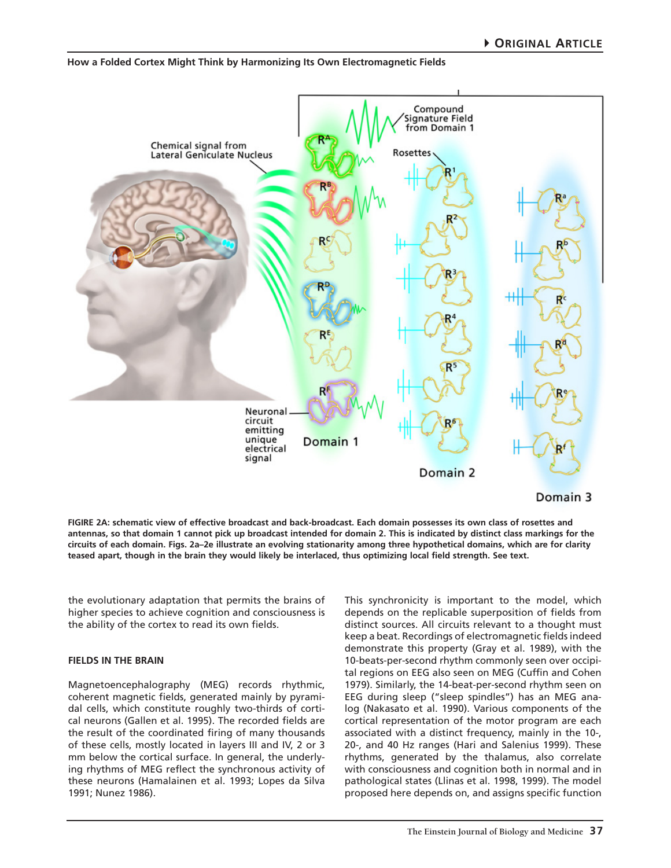# Compound Signature Field from Domain 1 Chemical signal from Rosettes Lateral Geniculate Nucleus R۴ Neuronal circuit emitting unique Domain 1 electrical signal Domain 2 Domain 3

#### **How a Folded Cortex Might Think by Harmonizing Its Own Electromagnetic Fields**

**FIGIRE 2A: schematic view of effective broadcast and back-broadcast. Each domain possesses its own class of rosettes and antennas, so that domain 1 cannot pick up broadcast intended for domain 2. This is indicated by distinct class markings for the circuits of each domain. Figs. 2a–2e illustrate an evolving stationarity among three hypothetical domains, which are for clarity teased apart, though in the brain they would likely be interlaced, thus optimizing local field strength. See text.**

the evolutionary adaptation that permits the brains of higher species to achieve cognition and consciousness is the ability of the cortex to read its own fields.

## **FIELDS IN THE BRAIN**

Magnetoencephalography (MEG) records rhythmic, coherent magnetic fields, generated mainly by pyramidal cells, which constitute roughly two-thirds of cortical neurons (Gallen et al. 1995). The recorded fields are the result of the coordinated firing of many thousands of these cells, mostly located in layers III and IV, 2 or 3 mm below the cortical surface. In general, the underlying rhythms of MEG reflect the synchronous activity of these neurons (Hamalainen et al. 1993; Lopes da Silva 1991; Nunez 1986).

This synchronicity is important to the model, which depends on the replicable superposition of fields from distinct sources. All circuits relevant to a thought must keep a beat. Recordings of electromagnetic fields indeed demonstrate this property (Gray et al. 1989), with the 10-beats-per-second rhythm commonly seen over occipital regions on EEG also seen on MEG (Cuffin and Cohen 1979). Similarly, the 14-beat-per-second rhythm seen on EEG during sleep ("sleep spindles") has an MEG analog (Nakasato et al. 1990). Various components of the cortical representation of the motor program are each associated with a distinct frequency, mainly in the 10-, 20-, and 40 Hz ranges (Hari and Salenius 1999). These rhythms, generated by the thalamus, also correlate with consciousness and cognition both in normal and in pathological states (Llinas et al. 1998, 1999). The model proposed here depends on, and assigns specific function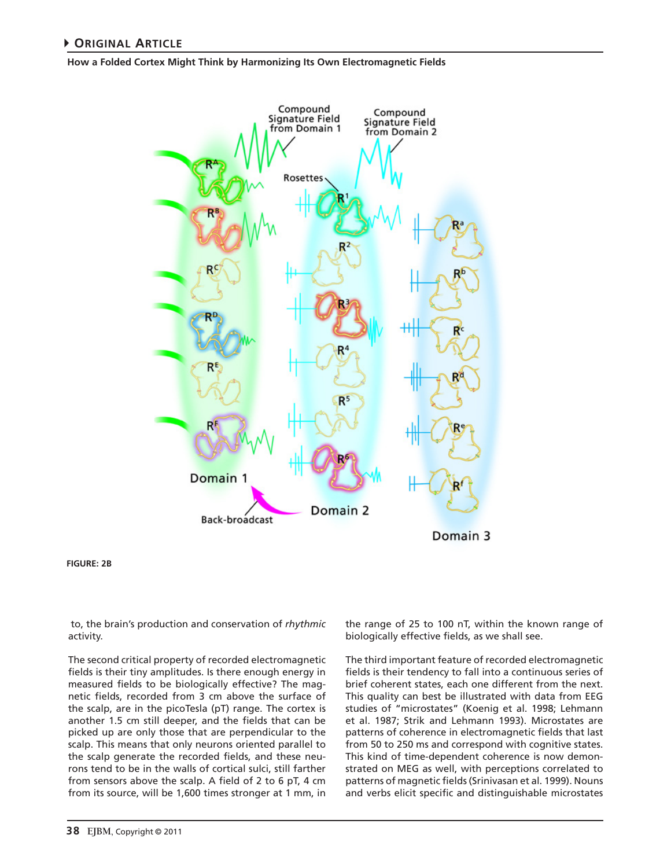

**FIGURE: 2B**

 to, the brain's production and conservation of *rhythmic* activity.

The second critical property of recorded electromagnetic fields is their tiny amplitudes. Is there enough energy in measured fields to be biologically effective? The magnetic fields, recorded from 3 cm above the surface of the scalp, are in the picoTesla (pT) range. The cortex is another 1.5 cm still deeper, and the fields that can be picked up are only those that are perpendicular to the scalp. This means that only neurons oriented parallel to the scalp generate the recorded fields, and these neurons tend to be in the walls of cortical sulci, still farther from sensors above the scalp. A field of 2 to 6 pT, 4 cm from its source, will be 1,600 times stronger at 1 mm, in

the range of 25 to 100 nT, within the known range of biologically effective fields, as we shall see.

The third important feature of recorded electromagnetic fields is their tendency to fall into a continuous series of brief coherent states, each one different from the next. This quality can best be illustrated with data from EEG studies of "microstates" (Koenig et al. 1998; Lehmann et al. 1987; Strik and Lehmann 1993). Microstates are patterns of coherence in electromagnetic fields that last from 50 to 250 ms and correspond with cognitive states. This kind of time-dependent coherence is now demonstrated on MEG as well, with perceptions correlated to patterns of magnetic fields (Srinivasan et al. 1999). Nouns and verbs elicit specific and distinguishable microstates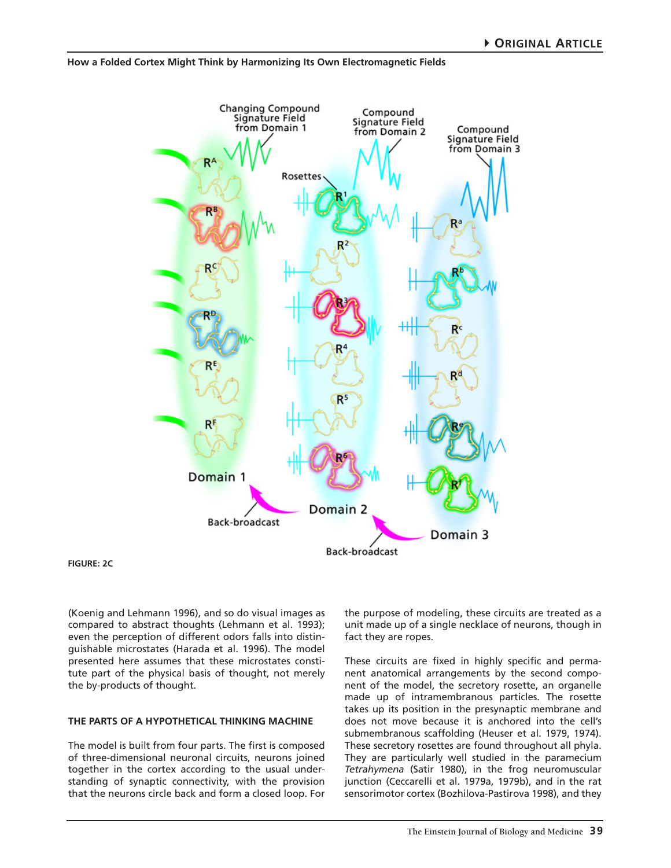

**FIGURE: 2C**

(Koenig and Lehmann 1996), and so do visual images as compared to abstract thoughts (Lehmann et al. 1993); even the perception of different odors falls into distinguishable microstates (Harada et al. 1996). The model presented here assumes that these microstates constitute part of the physical basis of thought, not merely the by-products of thought.

#### **THE PARTS OF A HYPOTHETICAL THINKING MACHINE**

The model is built from four parts. The first is composed of three-dimensional neuronal circuits, neurons joined together in the cortex according to the usual understanding of synaptic connectivity, with the provision that the neurons circle back and form a closed loop. For

the purpose of modeling, these circuits are treated as a unit made up of a single necklace of neurons, though in fact they are ropes.

These circuits are fixed in highly specific and permanent anatomical arrangements by the second component of the model, the secretory rosette, an organelle made up of intramembranous particles. The rosette takes up its position in the presynaptic membrane and does not move because it is anchored into the cell's submembranous scaffolding (Heuser et al. 1979, 1974). These secretory rosettes are found throughout all phyla. They are particularly well studied in the paramecium *Tetrahymena* (Satir 1980), in the frog neuromuscular junction (Ceccarelli et al. 1979a, 1979b), and in the rat sensorimotor cortex (Bozhilova-Pastirova 1998), and they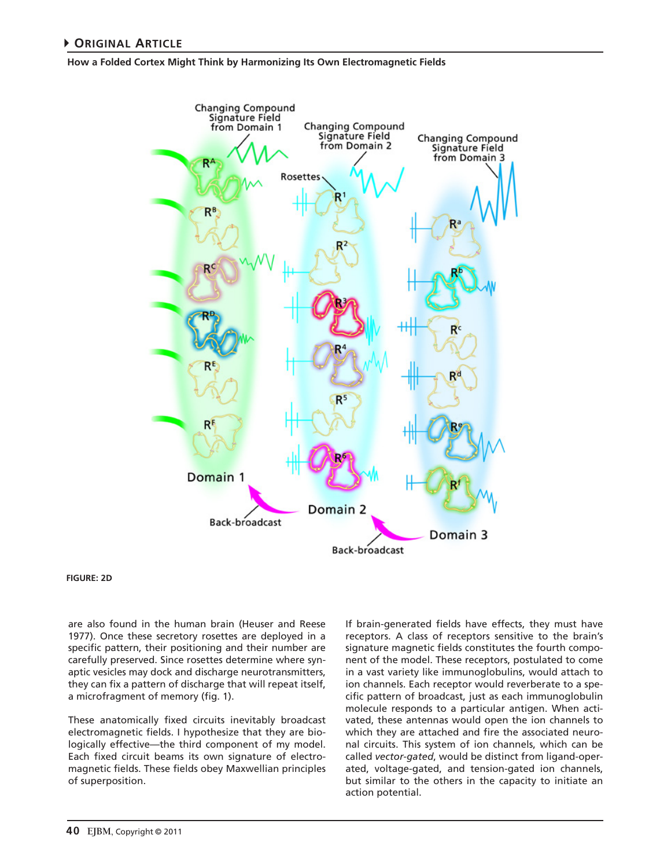

#### **FIGURE: 2D**

are also found in the human brain (Heuser and Reese 1977). Once these secretory rosettes are deployed in a specific pattern, their positioning and their number are carefully preserved. Since rosettes determine where synaptic vesicles may dock and discharge neurotransmitters, they can fix a pattern of discharge that will repeat itself, a microfragment of memory (fig. 1).

These anatomically fixed circuits inevitably broadcast electromagnetic fields. I hypothesize that they are biologically effective—the third component of my model. Each fixed circuit beams its own signature of electromagnetic fields. These fields obey Maxwellian principles of superposition.

If brain-generated fields have effects, they must have receptors. A class of receptors sensitive to the brain's signature magnetic fields constitutes the fourth component of the model. These receptors, postulated to come in a vast variety like immunoglobulins, would attach to ion channels. Each receptor would reverberate to a specific pattern of broadcast, just as each immunoglobulin molecule responds to a particular antigen. When activated, these antennas would open the ion channels to which they are attached and fire the associated neuronal circuits. This system of ion channels, which can be called *vector-gated*, would be distinct from ligand-operated, voltage-gated, and tension-gated ion channels, but similar to the others in the capacity to initiate an action potential.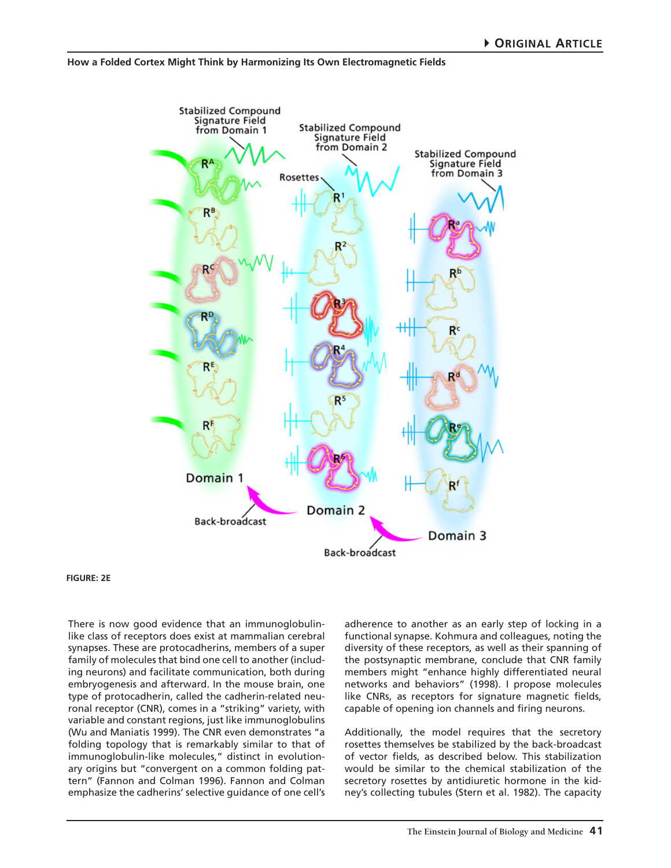

#### **FIGURE: 2E**

There is now good evidence that an immunoglobulinlike class of receptors does exist at mammalian cerebral synapses. These are protocadherins, members of a super family of molecules that bind one cell to another (including neurons) and facilitate communication, both during embryogenesis and afterward. In the mouse brain, one type of protocadherin, called the cadherin-related neuronal receptor (CNR), comes in a "striking" variety, with variable and constant regions, just like immunoglobulins (Wu and Maniatis 1999). The CNR even demonstrates "a folding topology that is remarkably similar to that of immunoglobulin-like molecules," distinct in evolutionary origins but "convergent on a common folding pattern" (Fannon and Colman 1996). Fannon and Colman emphasize the cadherins' selective guidance of one cell's

adherence to another as an early step of locking in a functional synapse. Kohmura and colleagues, noting the diversity of these receptors, as well as their spanning of the postsynaptic membrane, conclude that CNR family members might "enhance highly differentiated neural networks and behaviors" (1998). I propose molecules like CNRs, as receptors for signature magnetic fields, capable of opening ion channels and firing neurons.

Additionally, the model requires that the secretory rosettes themselves be stabilized by the back-broadcast of vector fields, as described below. This stabilization would be similar to the chemical stabilization of the secretory rosettes by antidiuretic hormone in the kidney's collecting tubules (Stern et al. 1982). The capacity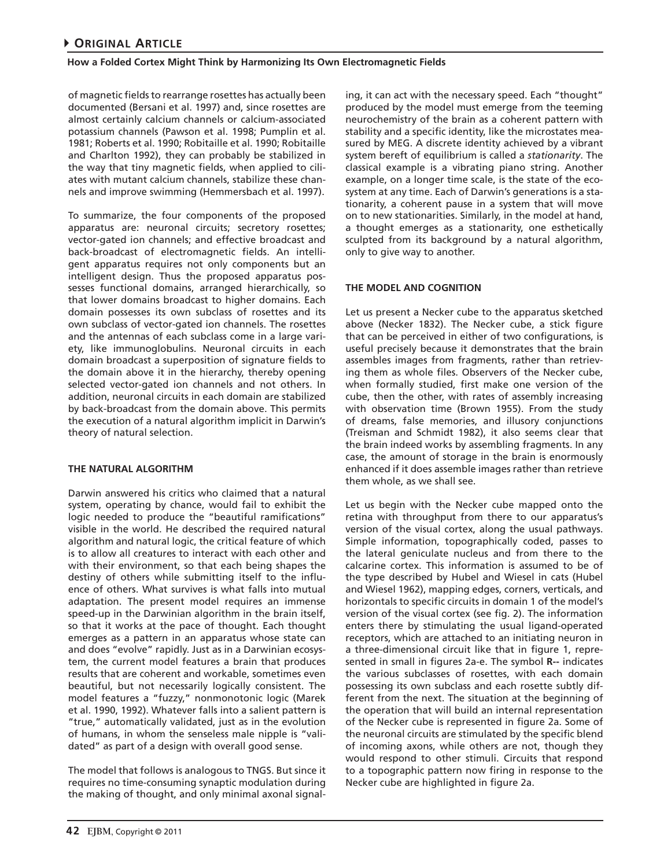of magnetic fields to rearrange rosettes has actually been documented (Bersani et al. 1997) and, since rosettes are almost certainly calcium channels or calcium-associated potassium channels (Pawson et al. 1998; Pumplin et al. 1981; Roberts et al. 1990; Robitaille et al. 1990; Robitaille and Charlton 1992), they can probably be stabilized in the way that tiny magnetic fields, when applied to ciliates with mutant calcium channels, stabilize these channels and improve swimming (Hemmersbach et al. 1997).

To summarize, the four components of the proposed apparatus are: neuronal circuits; secretory rosettes; vector-gated ion channels; and effective broadcast and back-broadcast of electromagnetic fields. An intelligent apparatus requires not only components but an intelligent design. Thus the proposed apparatus possesses functional domains, arranged hierarchically, so that lower domains broadcast to higher domains. Each domain possesses its own subclass of rosettes and its own subclass of vector-gated ion channels. The rosettes and the antennas of each subclass come in a large variety, like immunoglobulins. Neuronal circuits in each domain broadcast a superposition of signature fields to the domain above it in the hierarchy, thereby opening selected vector-gated ion channels and not others. In addition, neuronal circuits in each domain are stabilized by back-broadcast from the domain above. This permits the execution of a natural algorithm implicit in Darwin's theory of natural selection.

## **THE NATURAL ALGORITHM**

Darwin answered his critics who claimed that a natural system, operating by chance, would fail to exhibit the logic needed to produce the "beautiful ramifications" visible in the world. He described the required natural algorithm and natural logic, the critical feature of which is to allow all creatures to interact with each other and with their environment, so that each being shapes the destiny of others while submitting itself to the influence of others. What survives is what falls into mutual adaptation. The present model requires an immense speed-up in the Darwinian algorithm in the brain itself, so that it works at the pace of thought. Each thought emerges as a pattern in an apparatus whose state can and does "evolve" rapidly. Just as in a Darwinian ecosystem, the current model features a brain that produces results that are coherent and workable, sometimes even beautiful, but not necessarily logically consistent. The model features a "fuzzy," nonmonotonic logic (Marek et al. 1990, 1992). Whatever falls into a salient pattern is "true," automatically validated, just as in the evolution of humans, in whom the senseless male nipple is "validated" as part of a design with overall good sense.

The model that follows is analogous to TNGS. But since it requires no time-consuming synaptic modulation during the making of thought, and only minimal axonal signal-

ing, it can act with the necessary speed. Each "thought" produced by the model must emerge from the teeming neurochemistry of the brain as a coherent pattern with stability and a specific identity, like the microstates measured by MEG. A discrete identity achieved by a vibrant system bereft of equilibrium is called a *stationarity*. The classical example is a vibrating piano string. Another example, on a longer time scale, is the state of the ecosystem at any time. Each of Darwin's generations is a stationarity, a coherent pause in a system that will move on to new stationarities. Similarly, in the model at hand, a thought emerges as a stationarity, one esthetically sculpted from its background by a natural algorithm, only to give way to another.

## **THE MODEL AND COGNITION**

Let us present a Necker cube to the apparatus sketched above (Necker 1832). The Necker cube, a stick figure that can be perceived in either of two configurations, is useful precisely because it demonstrates that the brain assembles images from fragments, rather than retrieving them as whole files. Observers of the Necker cube, when formally studied, first make one version of the cube, then the other, with rates of assembly increasing with observation time (Brown 1955). From the study of dreams, false memories, and illusory conjunctions (Treisman and Schmidt 1982), it also seems clear that the brain indeed works by assembling fragments. In any case, the amount of storage in the brain is enormously enhanced if it does assemble images rather than retrieve them whole, as we shall see.

Let us begin with the Necker cube mapped onto the retina with throughput from there to our apparatus's version of the visual cortex, along the usual pathways. Simple information, topographically coded, passes to the lateral geniculate nucleus and from there to the calcarine cortex. This information is assumed to be of the type described by Hubel and Wiesel in cats (Hubel and Wiesel 1962), mapping edges, corners, verticals, and horizontals to specific circuits in domain 1 of the model's version of the visual cortex (see fig. 2). The information enters there by stimulating the usual ligand-operated receptors, which are attached to an initiating neuron in a three-dimensional circuit like that in figure 1, represented in small in figures 2a-e. The symbol **R--** indicates the various subclasses of rosettes, with each domain possessing its own subclass and each rosette subtly different from the next. The situation at the beginning of the operation that will build an internal representation of the Necker cube is represented in figure 2a. Some of the neuronal circuits are stimulated by the specific blend of incoming axons, while others are not, though they would respond to other stimuli. Circuits that respond to a topographic pattern now firing in response to the Necker cube are highlighted in figure 2a.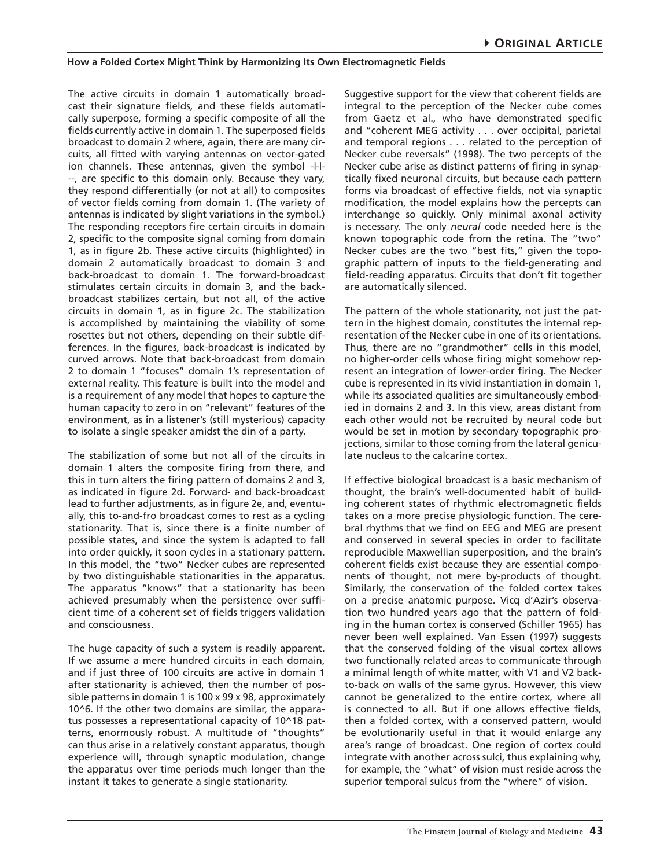The active circuits in domain 1 automatically broadcast their signature fields, and these fields automatically superpose, forming a specific composite of all the fields currently active in domain 1. The superposed fields broadcast to domain 2 where, again, there are many circuits, all fitted with varying antennas on vector-gated ion channels. These antennas, given the symbol -|-|- --, are specific to this domain only. Because they vary, they respond differentially (or not at all) to composites of vector fields coming from domain 1. (The variety of antennas is indicated by slight variations in the symbol.) The responding receptors fire certain circuits in domain 2, specific to the composite signal coming from domain 1, as in figure 2b. These active circuits (highlighted) in domain 2 automatically broadcast to domain 3 and back-broadcast to domain 1. The forward-broadcast stimulates certain circuits in domain 3, and the backbroadcast stabilizes certain, but not all, of the active circuits in domain 1, as in figure 2c. The stabilization is accomplished by maintaining the viability of some rosettes but not others, depending on their subtle differences. In the figures, back-broadcast is indicated by curved arrows. Note that back-broadcast from domain 2 to domain 1 "focuses" domain 1's representation of external reality. This feature is built into the model and is a requirement of any model that hopes to capture the human capacity to zero in on "relevant" features of the environment, as in a listener's (still mysterious) capacity to isolate a single speaker amidst the din of a party.

The stabilization of some but not all of the circuits in domain 1 alters the composite firing from there, and this in turn alters the firing pattern of domains 2 and 3, as indicated in figure 2d. Forward- and back-broadcast lead to further adjustments, as in figure 2e, and, eventually, this to-and-fro broadcast comes to rest as a cycling stationarity. That is, since there is a finite number of possible states, and since the system is adapted to fall into order quickly, it soon cycles in a stationary pattern. In this model, the "two" Necker cubes are represented by two distinguishable stationarities in the apparatus. The apparatus "knows" that a stationarity has been achieved presumably when the persistence over sufficient time of a coherent set of fields triggers validation and consciousness.

The huge capacity of such a system is readily apparent. If we assume a mere hundred circuits in each domain, and if just three of 100 circuits are active in domain 1 after stationarity is achieved, then the number of possible patterns in domain 1 is 100 x 99 x 98, approximately 10^6. If the other two domains are similar, the apparatus possesses a representational capacity of 10^18 patterns, enormously robust. A multitude of "thoughts" can thus arise in a relatively constant apparatus, though experience will, through synaptic modulation, change the apparatus over time periods much longer than the instant it takes to generate a single stationarity.

Suggestive support for the view that coherent fields are integral to the perception of the Necker cube comes from Gaetz et al., who have demonstrated specific and "coherent MEG activity . . . over occipital, parietal and temporal regions . . . related to the perception of Necker cube reversals" (1998). The two percepts of the Necker cube arise as distinct patterns of firing in synaptically fixed neuronal circuits, but because each pattern forms via broadcast of effective fields, not via synaptic modification, the model explains how the percepts can interchange so quickly. Only minimal axonal activity is necessary. The only *neural* code needed here is the known topographic code from the retina. The "two" Necker cubes are the two "best fits," given the topographic pattern of inputs to the field-generating and field-reading apparatus. Circuits that don't fit together are automatically silenced.

The pattern of the whole stationarity, not just the pattern in the highest domain, constitutes the internal representation of the Necker cube in one of its orientations. Thus, there are no "grandmother" cells in this model, no higher-order cells whose firing might somehow represent an integration of lower-order firing. The Necker cube is represented in its vivid instantiation in domain 1, while its associated qualities are simultaneously embodied in domains 2 and 3. In this view, areas distant from each other would not be recruited by neural code but would be set in motion by secondary topographic projections, similar to those coming from the lateral geniculate nucleus to the calcarine cortex.

If effective biological broadcast is a basic mechanism of thought, the brain's well-documented habit of building coherent states of rhythmic electromagnetic fields takes on a more precise physiologic function. The cerebral rhythms that we find on EEG and MEG are present and conserved in several species in order to facilitate reproducible Maxwellian superposition, and the brain's coherent fields exist because they are essential components of thought, not mere by-products of thought. Similarly, the conservation of the folded cortex takes on a precise anatomic purpose. Vicq d'Azir's observation two hundred years ago that the pattern of folding in the human cortex is conserved (Schiller 1965) has never been well explained. Van Essen (1997) suggests that the conserved folding of the visual cortex allows two functionally related areas to communicate through a minimal length of white matter, with V1 and V2 backto-back on walls of the same gyrus. However, this view cannot be generalized to the entire cortex, where all is connected to all. But if one allows effective fields, then a folded cortex, with a conserved pattern, would be evolutionarily useful in that it would enlarge any area's range of broadcast. One region of cortex could integrate with another across sulci, thus explaining why, for example, the "what" of vision must reside across the superior temporal sulcus from the "where" of vision.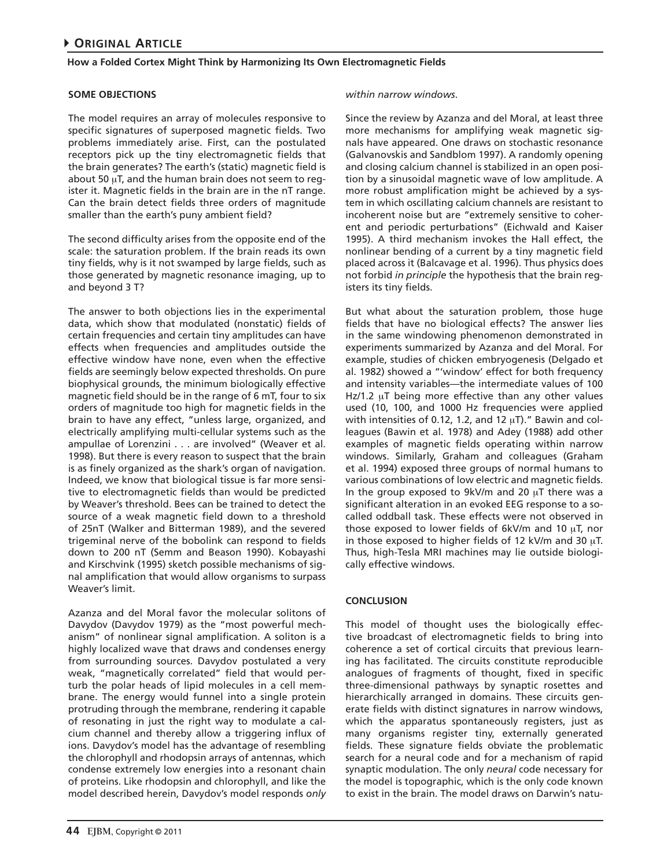## **SOME OBJECTIONS**

The model requires an array of molecules responsive to specific signatures of superposed magnetic fields. Two problems immediately arise. First, can the postulated receptors pick up the tiny electromagnetic fields that the brain generates? The earth's (static) magnetic field is about 50  $\mu$ T, and the human brain does not seem to register it. Magnetic fields in the brain are in the nT range. Can the brain detect fields three orders of magnitude smaller than the earth's puny ambient field?

The second difficulty arises from the opposite end of the scale: the saturation problem. If the brain reads its own tiny fields, why is it not swamped by large fields, such as those generated by magnetic resonance imaging, up to and beyond 3 T?

The answer to both objections lies in the experimental data, which show that modulated (nonstatic) fields of certain frequencies and certain tiny amplitudes can have effects when frequencies and amplitudes outside the effective window have none, even when the effective fields are seemingly below expected thresholds. On pure biophysical grounds, the minimum biologically effective magnetic field should be in the range of 6 mT, four to six orders of magnitude too high for magnetic fields in the brain to have any effect, "unless large, organized, and electrically amplifying multi-cellular systems such as the ampullae of Lorenzini . . . are involved" (Weaver et al. 1998). But there is every reason to suspect that the brain is as finely organized as the shark's organ of navigation. Indeed, we know that biological tissue is far more sensitive to electromagnetic fields than would be predicted by Weaver's threshold. Bees can be trained to detect the source of a weak magnetic field down to a threshold of 25nT (Walker and Bitterman 1989), and the severed trigeminal nerve of the bobolink can respond to fields down to 200 nT (Semm and Beason 1990). Kobayashi and Kirschvink (1995) sketch possible mechanisms of signal amplification that would allow organisms to surpass Weaver's limit.

Azanza and del Moral favor the molecular solitons of Davydov (Davydov 1979) as the "most powerful mechanism" of nonlinear signal amplification. A soliton is a highly localized wave that draws and condenses energy from surrounding sources. Davydov postulated a very weak, "magnetically correlated" field that would perturb the polar heads of lipid molecules in a cell membrane. The energy would funnel into a single protein protruding through the membrane, rendering it capable of resonating in just the right way to modulate a calcium channel and thereby allow a triggering influx of ions. Davydov's model has the advantage of resembling the chlorophyll and rhodopsin arrays of antennas, which condense extremely low energies into a resonant chain of proteins. Like rhodopsin and chlorophyll, and like the model described herein, Davydov's model responds *only*  Since the review by Azanza and del Moral, at least three more mechanisms for amplifying weak magnetic signals have appeared. One draws on stochastic resonance (Galvanovskis and Sandblom 1997). A randomly opening and closing calcium channel is stabilized in an open position by a sinusoidal magnetic wave of low amplitude. A more robust amplification might be achieved by a system in which oscillating calcium channels are resistant to incoherent noise but are "extremely sensitive to coherent and periodic perturbations" (Eichwald and Kaiser 1995). A third mechanism invokes the Hall effect, the nonlinear bending of a current by a tiny magnetic field placed across it (Balcavage et al. 1996). Thus physics does not forbid *in principle* the hypothesis that the brain registers its tiny fields.

But what about the saturation problem, those huge fields that have no biological effects? The answer lies in the same windowing phenomenon demonstrated in experiments summarized by Azanza and del Moral. For example, studies of chicken embryogenesis (Delgado et al. 1982) showed a "'window' effect for both frequency and intensity variables—the intermediate values of 100 Hz/1.2  $\mu$ T being more effective than any other values used (10, 100, and 1000 Hz frequencies were applied with intensities of 0.12, 1.2, and 12  $\mu$ T)." Bawin and colleagues (Bawin et al. 1978) and Adey (1988) add other examples of magnetic fields operating within narrow windows. Similarly, Graham and colleagues (Graham et al. 1994) exposed three groups of normal humans to various combinations of low electric and magnetic fields. In the group exposed to  $9kV/m$  and 20  $\mu$ T there was a significant alteration in an evoked EEG response to a socalled oddball task. These effects were not observed in those exposed to lower fields of  $6kV/m$  and 10  $\mu$ T, nor in those exposed to higher fields of 12 kV/m and 30  $\mu$ T. Thus, high-Tesla MRI machines may lie outside biologically effective windows.

## **CONCLUSION**

This model of thought uses the biologically effective broadcast of electromagnetic fields to bring into coherence a set of cortical circuits that previous learning has facilitated. The circuits constitute reproducible analogues of fragments of thought, fixed in specific three-dimensional pathways by synaptic rosettes and hierarchically arranged in domains. These circuits generate fields with distinct signatures in narrow windows, which the apparatus spontaneously registers, just as many organisms register tiny, externally generated fields. These signature fields obviate the problematic search for a neural code and for a mechanism of rapid synaptic modulation. The only *neural* code necessary for the model is topographic, which is the only code known to exist in the brain. The model draws on Darwin's natu-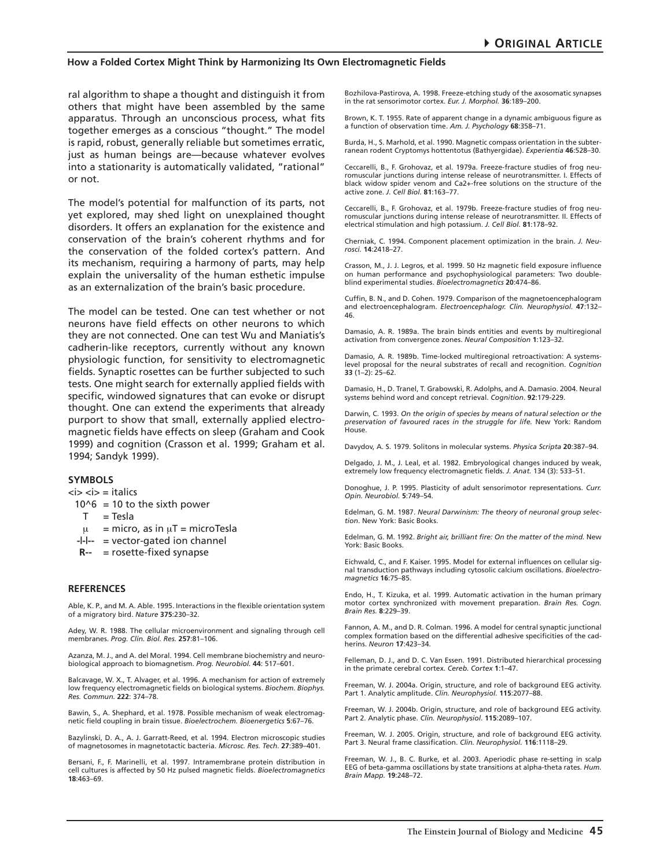ral algorithm to shape a thought and distinguish it from others that might have been assembled by the same apparatus. Through an unconscious process, what fits together emerges as a conscious "thought." The model is rapid, robust, generally reliable but sometimes erratic, just as human beings are—because whatever evolves into a stationarity is automatically validated, "rational" or not.

The model's potential for malfunction of its parts, not yet explored, may shed light on unexplained thought disorders. It offers an explanation for the existence and conservation of the brain's coherent rhythms and for the conservation of the folded cortex's pattern. And its mechanism, requiring a harmony of parts, may help explain the universality of the human esthetic impulse as an externalization of the brain's basic procedure.

The model can be tested. One can test whether or not neurons have field effects on other neurons to which they are not connected. One can test Wu and Maniatis's cadherin-like receptors, currently without any known physiologic function, for sensitivity to electromagnetic fields. Synaptic rosettes can be further subjected to such tests. One might search for externally applied fields with specific, windowed signatures that can evoke or disrupt thought. One can extend the experiments that already purport to show that small, externally applied electromagnetic fields have effects on sleep (Graham and Cook 1999) and cognition (Crasson et al. 1999; Graham et al. 1994; Sandyk 1999).

#### **SYMBOLS**

#### $\langle i \rangle \langle i \rangle =$  italics

- $10^6$  = 10 to the sixth power
	- $T = Tesla$
	- $\mu$  = micro, as in  $\mu$ T = microTesla
- **-|-|--** = vector-gated ion channel
- **R--** = rosette-fixed synapse

#### **REFERENCES**

Able, K. P., and M. A. Able. 1995. Interactions in the flexible orientation system of a migratory bird. *Nature* **375**:230–32.

Adey, W. R. 1988. The cellular microenvironment and signaling through cell membranes. *Prog. Clin. Biol. Res.* **257**:81–106.

Azanza, M. J., and A. del Moral. 1994. Cell membrane biochemistry and neurobiological approach to biomagnetism. *Prog. Neurobiol.* **44**: 517–601.

Balcavage, W. X., T. Alvager, et al. 1996. A mechanism for action of extremely low frequency electromagnetic fields on biological systems. *Biochem. Biophys. Res. Commun.* **222**: 374–78.

Bawin, S., A. Shephard, et al. 1978. Possible mechanism of weak electromagnetic field coupling in brain tissue. *Bioelectrochem. Bioenergetics* **5**:67–76.

Bazylinski, D. A., A. J. Garratt-Reed, et al. 1994. Electron microscopic studies of magnetosomes in magnetotactic bacteria. *Microsc. Res. Tech*. **27**:389–401.

Bersani, F., F. Marinelli, et al. 1997. Intramembrane protein distribution in cell cultures is affected by 50 Hz pulsed magnetic fields. *Bioelectromagnetics* **18**:463–69.

Bozhilova-Pastirova, A. 1998. Freeze-etching study of the axosomatic synapses in the rat sensorimotor cortex. *Eur. J. Morphol.* **36**:189–200.

Brown, K. T. 1955. Rate of apparent change in a dynamic ambiguous figure as a function of observation time. *Am. J. Psychology* **68**:358–71.

Burda, H., S. Marhold, et al. 1990. Magnetic compass orientation in the subterranean rodent Cryptomys hottentotus (Bathyergidae). *Experientia* **46**:528–30.

Ceccarelli, B., F. Grohovaz, et al. 1979a. Freeze-fracture studies of frog neuromuscular junctions during intense release of neurotransmitter. I. Effects of black widow spider venom and Ca2+-free solutions on the structure of the active zone. *J. Cell Biol.* **81**:163–77.

Ceccarelli, B., F. Grohovaz, et al. 1979b. Freeze-fracture studies of frog neuromuscular junctions during intense release of neurotransmitter. II. Effects of electrical stimulation and high potassium. *J. Cell Biol.* **81**:178–92.

Cherniak, C. 1994. Component placement optimization in the brain. *J. Neurosci.* **14**:2418–27.

Crasson, M., J. J. Legros, et al. 1999. 50 Hz magnetic field exposure influence on human performance and psychophysiological parameters: Two doubleblind experimental studies. *Bioelectromagnetics* **20**:474–86.

Cuffin, B. N., and D. Cohen. 1979. Comparison of the magnetoencephalogram and electroencephalogram. *Electroencephalogr. Clin. Neurophysiol.* **47**:132– 46.

Damasio, A. R. 1989a. The brain binds entities and events by multiregional activation from convergence zones. *Neural Composition* **1**:123–32.

Damasio, A. R. 1989b. Time-locked multiregional retroactivation: A systemslevel proposal for the neural substrates of recall and recognition. *Cognition* **33** (1–2): 25–62.

Damasio, H., D. Tranel, T. Grabowski, R. Adolphs, and A. Damasio. 2004. Neural systems behind word and concept retrieval. *Cognition*. **92**:179-229.

Darwin, C. 1993. *On the origin of species by means of natural selection or the preservation of favoured races in the struggle for life.* New York: Random House.

Davydov, A. S. 1979. Solitons in molecular systems. *Physica Scripta* **20**:387–94.

Delgado, J. M., J. Leal, et al. 1982. Embryological changes induced by weak, extremely low frequency electromagnetic fields. *J. Anat.* 134 (3): 533–51.

Donoghue, J. P. 1995. Plasticity of adult sensorimotor representations. *Curr. Opin. Neurobiol.* **5**:749–54.

Edelman, G. M. 1987. *Neural Darwinism: The theory of neuronal group selection*. New York: Basic Books.

Edelman, G. M. 1992. *Bright air, brilliant fire: On the matter of the mind.* New York: Basic Books.

Eichwald, C., and F. Kaiser. 1995. Model for external influences on cellular signal transduction pathways including cytosolic calcium oscillations. *Bioelectromagnetics* **16**:75–85.

Endo, H., T. Kizuka, et al. 1999. Automatic activation in the human primary motor cortex synchronized with movement preparation. *Brain Res. Cogn. Brain Res.* **8**:229–39.

Fannon, A. M., and D. R. Colman. 1996. A model for central synaptic junctional complex formation based on the differential adhesive specificities of the cadherins. *Neuron* **17**:423–34.

Felleman, D. J., and D. C. Van Essen. 1991. Distributed hierarchical processing in the primate cerebral cortex. *Cereb. Cortex* **1**:1–47.

Freeman, W. J. 2004a. Origin, structure, and role of background EEG activity. Part 1. Analytic amplitude. *Clin. Neurophysiol.* **115**:2077–88.

Freeman, W. J. 2004b. Origin, structure, and role of background EEG activity. Part 2. Analytic phase. *Clin. Neurophysiol*. **115**:2089–107.

Freeman, W. J. 2005. Origin, structure, and role of background EEG activity. Part 3. Neural frame classification. *Clin. Neurophysiol.* **116**:1118–29.

Freeman, W. J., B. C. Burke, et al. 2003. Aperiodic phase re-setting in scalp EEG of beta-gamma oscillations by state transitions at alpha-theta rates. *Hum. Brain Mapp.* **19**:248–72.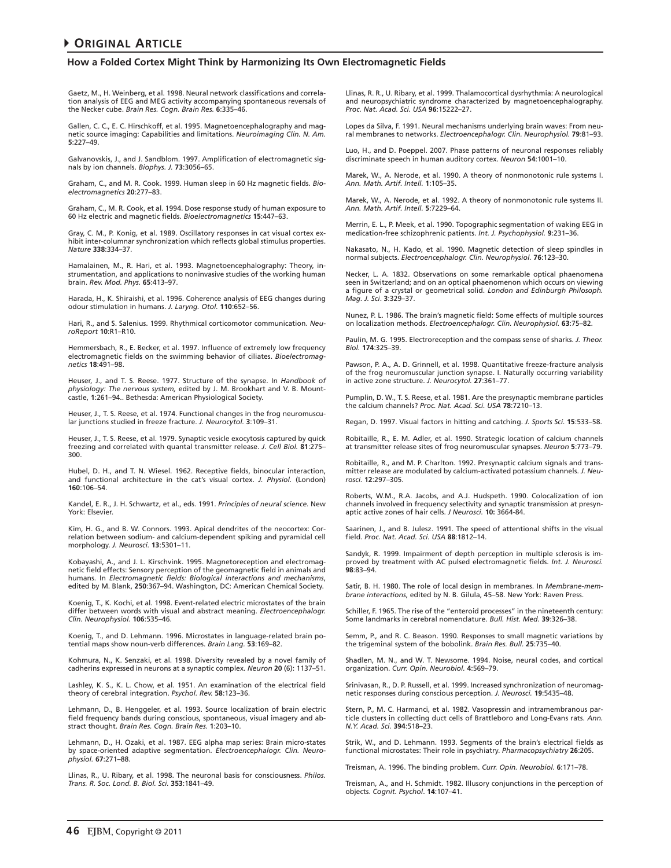Gaetz, M., H. Weinberg, et al. 1998. Neural network classifications and correlation analysis of EEG and MEG activity accompanying spontaneous reversals of the Necker cube. *Brain Res. Cogn. Brain Res.* **6**:335–46.

Gallen, C. C., E. C. Hirschkoff, et al. 1995. Magnetoencephalography and magnetic source imaging: Capabilities and limitations. *Neuroimaging Clin. N. Am.* **5**:227–49.

Galvanovskis, J., and J. Sandblom. 1997. Amplification of electromagnetic signals by ion channels. *Biophys. J.* **73**:3056–65.

Graham, C., and M. R. Cook. 1999. Human sleep in 60 Hz magnetic fields. *Bioelectromagnetics* **20**:277–83.

Graham, C., M. R. Cook, et al. 1994. Dose response study of human exposure to 60 Hz electric and magnetic fields. *Bioelectromagnetics* **15**:447–63.

Gray, C. M., P. Konig, et al. 1989. Oscillatory responses in cat visual cortex exhibit inter-columnar synchronization which reflects global stimulus properties. *Nature* **338**:334–37.

Hamalainen, M., R. Hari, et al. 1993. Magnetoencephalography: Theory, instrumentation, and applications to noninvasive studies of the working human brain. *Rev. Mod. Phys.* **65**:413–97.

Harada, H., K. Shiraishi, et al. 1996. Coherence analysis of EEG changes during odour stimulation in humans. *J. Laryng. Otol.* **110**:652–56.

Hari, R., and S. Salenius. 1999. Rhythmical corticomotor communication. *NeuroReport* **10**:R1–R10.

Hemmersbach, R., E. Becker, et al. 1997. Influence of extremely low frequency electromagnetic fields on the swimming behavior of ciliates. *Bioelectromagnetics* **18**:491–98.

Heuser, J., and T. S. Reese. 1977. Structure of the synapse. In *Handbook of physiology: The nervous system,* edited by J. M. Brookhart and V. B. Mountcastle, **1**:261–94.. Bethesda: American Physiological Society.

Heuser, J., T. S. Reese, et al. 1974. Functional changes in the frog neuromuscular junctions studied in freeze fracture. *J. Neurocytol.* **3**:109–31.

Heuser, J., T. S. Reese, et al. 1979. Synaptic vesicle exocytosis captured by quick freezing and correlated with quantal transmitter release. *J. Cell Biol.* **81**:275– 300.

Hubel, D. H., and T. N. Wiesel. 1962. Receptive fields, binocular interaction, and functional architecture in the cat's visual cortex. *J. Physiol.* (London) **160**:106–54.

Kandel, E. R., J. H. Schwartz, et al., eds. 1991. *Principles of neural science.* New York: Elsevier.

Kim, H. G., and B. W. Connors. 1993. Apical dendrites of the neocortex: Correlation between sodium- and calcium-dependent spiking and pyramidal cell morphology. *J. Neurosci.* **13**:5301–11.

Kobayashi, A., and J. L. Kirschvink. 1995. Magnetoreception and electromagnetic field effects: Sensory perception of the geomagnetic field in animals and humans. In *Electromagnetic fields: Biological interactions and mechanisms*, edited by M. Blank, **250**:367–94. Washington, DC: American Chemical Society.

Koenig, T., K. Kochi, et al. 1998. Event-related electric microstates of the brain differ between words with visual and abstract meaning. *Electroencephalogr. Clin. Neurophysiol.* **106**:535–46.

Koenig, T., and D. Lehmann. 1996. Microstates in language-related brain potential maps show noun-verb differences. *Brain Lang.* **53**:169–82.

Kohmura, N., K. Senzaki, et al. 1998. Diversity revealed by a novel family of cadherins expressed in neurons at a synaptic complex. *Neuron* **20** (6): 1137–51.

Lashley, K. S., K. L. Chow, et al. 1951. An examination of the electrical field theory of cerebral integration. *Psychol. Rev.* **58**:123–36.

Lehmann, D., B. Henggeler, et al. 1993. Source localization of brain electric field frequency bands during conscious, spontaneous, visual imagery and abstract thought. *Brain Res. Cogn. Brain Res.* **1**:203–10.

Lehmann, D., H. Ozaki, et al. 1987. EEG alpha map series: Brain micro-states by space-oriented adaptive segmentation. *Electroencephalogr. Clin. Neurophysiol.* **67**:271–88.

Llinas, R., U. Ribary, et al. 1998. The neuronal basis for consciousness. *Philos. Trans. R. Soc. Lond. B. Biol. Sci.* **353**:1841–49.

Llinas, R. R., U. Ribary, et al. 1999. Thalamocortical dysrhythmia: A neurological and neuropsychiatric syndrome characterized by magnetoencephalography. *Proc. Nat. Acad. Sci. USA* **96**:15222–27.

Lopes da Silva, F. 1991. Neural mechanisms underlying brain waves: From neural membranes to networks. *Electroencephalogr. Clin. Neurophysiol.* **79**:81–93.

Luo, H., and D. Poeppel. 2007. Phase patterns of neuronal responses reliably discriminate speech in human auditory cortex. *Neuron* **54**:1001–10.

Marek, W., A. Nerode, et al. 1990. A theory of nonmonotonic rule systems I. *Ann. Math. Artif. Intell.* **1**:105–35.

Marek, W., A. Nerode, et al. 1992. A theory of nonmonotonic rule systems II. *Ann. Math. Artif. Intell.* **5**:7229–64.

Merrin, E. L., P. Meek, et al. 1990. Topographic segmentation of waking EEG in medication-free schizophrenic patients. *Int. J. Psychophysiol.* **9**:231–36.

Nakasato, N., H. Kado, et al. 1990. Magnetic detection of sleep spindles in normal subjects. *Electroencephalogr. Clin. Neurophysiol.* **76**:123–30.

Necker, L. A. 1832. Observations on some remarkable optical phaenomena seen in Switzerland; and on an optical phaenomenon which occurs on viewing a figure of a crystal or geometrical solid. *London and Edinburgh Philosoph. Mag. J. Sci*. **3**:329–37.

Nunez, P. L. 1986. The brain's magnetic field: Some effects of multiple sources on localization methods. *Electroencephalogr. Clin. Neurophysiol.* **63**:75–82.

Paulin, M. G. 1995. Electroreception and the compass sense of sharks. *J. Theor. Biol.* **174**:325–39.

Pawson, P. A., A. D. Grinnell, et al. 1998. Quantitative freeze-fracture analysis of the frog neuromuscular junction synapse. I. Naturally occurring variability in active zone structure. *J. Neurocytol.* **27**:361–77.

Pumplin, D. W., T. S. Reese, et al. 1981. Are the presynaptic membrane particles the calcium channels? *Proc. Nat. Acad. Sci. USA* **78**:7210–13.

Regan, D. 1997. Visual factors in hitting and catching. *J. Sports Sci.* **15**:533–58.

Robitaille, R., E. M. Adler, et al. 1990. Strategic location of calcium channels at transmitter release sites of frog neuromuscular synapses. *Neuron* **5**:773–79.

Robitaille, R., and M. P. Charlton. 1992. Presynaptic calcium signals and transmitter release are modulated by calcium-activated potassium channels. *J. Neurosci.* **12**:297–305.

Roberts, W.M., R.A. Jacobs, and A.J. Hudspeth. 1990. Colocalization of ion channels involved in frequency selectivity and synaptic transmission at presynaptic active zones of hair cells. *J Neurosci.* **10:** 3664-84.

Saarinen, J., and B. Julesz. 1991. The speed of attentional shifts in the visual field. *Proc. Nat. Acad. Sci. USA* **88**:1812–14.

Sandyk, R. 1999. Impairment of depth perception in multiple sclerosis is improved by treatment with AC pulsed electromagnetic fields. *Int. J. Neurosci.* **98**:83–94.

Satir, B. H. 1980. The role of local design in membranes. In *Membrane-membrane interactions*, edited by N. B. Gilula, 45–58. New York: Raven Press.

Schiller, F. 1965. The rise of the "enteroid processes" in the nineteenth century: Some landmarks in cerebral nomenclature. *Bull. Hist. Med.* **39**:326–38.

Semm, P., and R. C. Beason. 1990. Responses to small magnetic variations by the trigeminal system of the bobolink. *Brain Res. Bull.* **25**:735–40.

Shadlen, M. N., and W. T. Newsome. 1994. Noise, neural codes, and cortical organization. *Curr. Opin. Neurobiol.* **4**:569–79.

Srinivasan, R., D. P. Russell, et al. 1999. Increased synchronization of neuromagnetic responses during conscious perception. *J. Neurosci.* **19**:5435–48.

Stern, P., M. C. Harmanci, et al. 1982. Vasopressin and intramembranous particle clusters in collecting duct cells of Brattleboro and Long-Evans rats. *Ann. N.Y. Acad. Sci.* **394**:518–23.

Strik, W., and D. Lehmann. 1993. Segments of the brain's electrical fields as functional microstates: Their role in psychiatry. *Pharmacopsychiatry* **26**:205.

Treisman, A. 1996. The binding problem. *Curr. Opin. Neurobiol.* **6**:171–78.

Treisman, A., and H. Schmidt. 1982. Illusory conjunctions in the perception of objects. *Cognit. Psychol*. **14**:107–41.